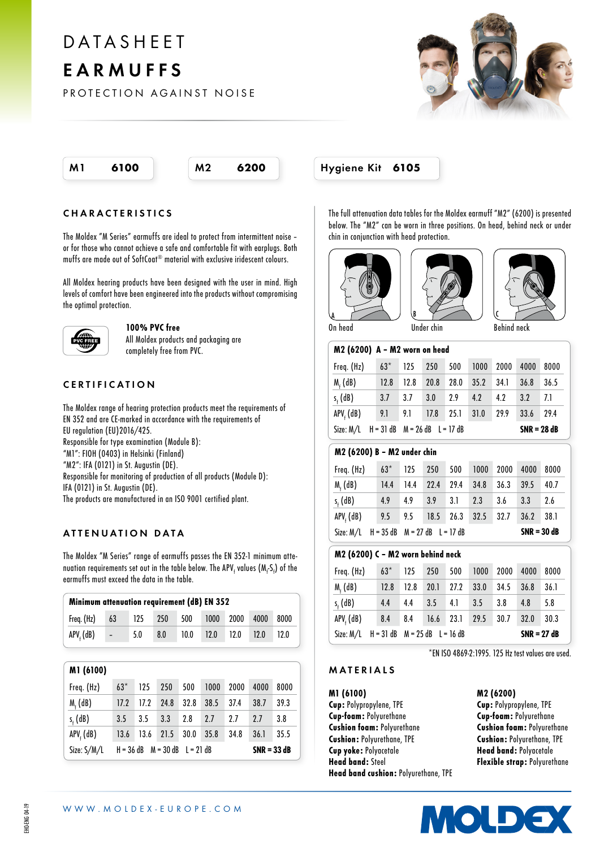# DATASHEET EARMUFFS

PROTECTION AGAINST NOISE





#### CHARACTERISTICS

The Moldex "M Series" earmuffs are ideal to protect from intermittent noise – or for those who cannot achieve a safe and comfortable fit with earplugs. Both muffs are made out of SoftCoat® material with exclusive iridescent colours.

All Moldex hearing products have been designed with the user in mind. High levels of comfort have been engineered into the products without compromising the optimal protection.



#### 100% PVC free

All Moldex products and packaging are completely free from PVC.

## CERTIFICATION

The Moldex range of hearing protection products meet the requirements of EN 352 and are CE-marked in accordance with the requirements of EU regulation (EU)2016/425. Responsible for type examination (Module B): "M1": FIOH (0403) in Helsinki (Finland) "M2": IFA (0121) in St. Augustin (DE). Responsible for monitoring of production of all products (Module D): IFA (0121) in St. Augustin (DE). The products are manufactured in an ISO 9001 certified plant.

## ATTENUATION DATA

The Moldex "M Series" range of earmuffs passes the EN 352-1 minimum attenuation requirements set out in the table below. The APV<sub>f</sub> values  $(M_fS_f)$  of the earmuffs must exceed the data in the table.

| Minimum attenuation requirement (dB) EN 352 |             |        |     |     |                                      |  |      |      |  |
|---------------------------------------------|-------------|--------|-----|-----|--------------------------------------|--|------|------|--|
| Freq. (Hz)                                  | 63          | $-125$ | 250 | 500 | 1000 2000                            |  | 4000 | 8000 |  |
| APV, (dB)                                   | <b>COMP</b> | 5.0    | 8.0 |     | 10.0    12.0    12.0    12.0    12.0 |  |      |      |  |

| M1 (6100)           |                                                         |      |      |      |      |      |      |      |
|---------------------|---------------------------------------------------------|------|------|------|------|------|------|------|
| Freq. (Hz)          | $63*$                                                   | 125  | 250  | 500  | 1000 | 2000 | 4000 | 8000 |
| $M_f$ (dB)          | 17.2                                                    | 17.2 | 24.8 | 32.8 | 38.5 | 37.4 | 38.7 | 39.3 |
| $s_{\epsilon}$ (dB) | 3.5                                                     | 3.5  | 3.3  | 2.8  | 2.7  | 2.7  | 2.7  | 3.8  |
| APV, (dB)           | 13.6                                                    | 13.6 | 21.5 | 30.0 | 35.8 | 34.8 | 36.1 | 35.5 |
| Size: S/M/L         | $M = 30$ dB $L = 21$ dB<br>$H = 36$ dB<br>$SNR = 33 dB$ |      |      |      |      |      |      |      |

The full attenuation data tables for the Moldex earmuff "M2" (6200) is presented below. The "M2" can be worn in three positions. On head, behind neck or under chin in conjunction with head protection.







| M2 (6200) A - M2 worn on head |                                     |      |      |      |      |               |      |      |
|-------------------------------|-------------------------------------|------|------|------|------|---------------|------|------|
| Freq. (Hz)                    | $63*$                               | 125  | 250  | 500  | 1000 | 2000          | 4000 | 8000 |
| $Mr$ (dB)                     | 12.8                                | 12.8 | 20.8 | 28.0 | 35.2 | 34.1          | 36.8 | 36.5 |
| $s_{i}$ (dB)                  | 3.7                                 | 3.7  | 3.0  | 2.9  | 4.2  | 4.2           | 3.2  | 7.1  |
| $APVf$ (dB)                   | 9.1                                 | 9.1  | 17.8 | 25.1 | 31.0 | 29.9          | 33.6 | 29.4 |
| Size: M/L                     | $H = 31 dB$ $M = 26 dB$ $L = 17 dB$ |      |      |      |      | $SNR = 28 dB$ |      |      |

#### M2 (6200) B – M2 under chin

|                     |        | Size: $M/L$ H = 35 dB $M = 27$ dB L = 17 dB |             |      |                             |           |      | $SNR = 30 dB$ |
|---------------------|--------|---------------------------------------------|-------------|------|-----------------------------|-----------|------|---------------|
| $APVf$ (dB)         |        |                                             |             |      | 9.5 9.5 18.5 26.3 32.5 32.7 |           | 36.2 | 38.1          |
| $s_{\epsilon}$ (dB) | 4.9    | 4.9                                         | $3.9$ $3.1$ |      | 2.3                         | 3.6       | 3.3  | 2.6           |
| $M_f$ (dB)          | 14.4   | 14.4                                        | 22.4        | 29.4 | 34.8                        | 36.3      | 39.5 | 40.7          |
| Freq. (Hz)          | $63^*$ |                                             |             |      | 125 250 500 1000            | 2000 4000 |      | 8000          |

#### M2 (6200) C – M2 worn behind neck

| Freq. (Hz)                                  |  |      |      |                |               | 63* 125 250 500 1000 2000 4000 |      |      | 8000 |
|---------------------------------------------|--|------|------|----------------|---------------|--------------------------------|------|------|------|
| $Mr$ (dB)                                   |  | 12.8 | 12.8 | 20.1 27.2 33.0 |               |                                | 34.5 | 36.8 | 36.1 |
| $s_{\epsilon}$ (dB)                         |  | 4.4  | 4.4  | $3.5$ 4.1      |               | 3.5                            | 3.8  | 4.8  | 5.8  |
| $APVt$ (dB)                                 |  | 8.4  |      |                |               | 8.4 16.6 23.1 29.5 30.7        |      | 32.0 | 30.3 |
| Size: $M/L$ H = 31 dB $M = 25$ dB L = 16 dB |  |      |      |                | $SNR = 27 dB$ |                                |      |      |      |

\*EN ISO 4869-2:1995. 125 Hz test values are used.

#### MATERIALS

M1 (6100)

Cup: Polypropylene, TPE Cup-foam: Polyurethane Cushion foam: Polyurethane Cushion: Polyurethane, TPE Cup yoke: Polyacetale Head band: Steel Head band cushion: Polyurethane, TPE M2 (6200)

Cup: Polypropylene, TPE Cup-foam: Polyurethane Cushion foam: Polyurethane Cushion: Polyurethane, TPE Head band: Polyacetale Flexible strap: Polyurethane